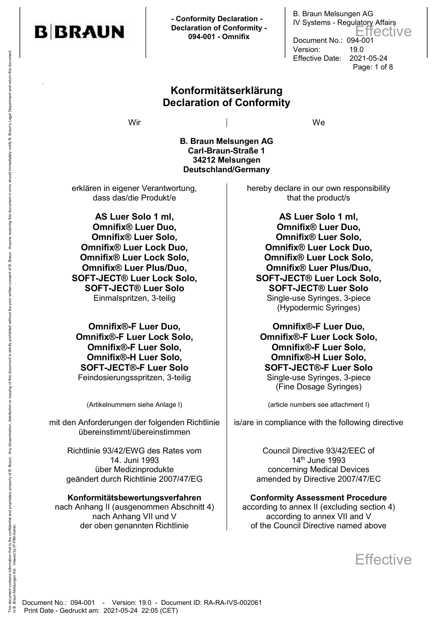

 **- Conformity Declaration - Declaration of Conformity - 094-001 - Omnifix**

### **Konformitätserklärung Declaration of Conformity**

Wir and the contract of the contract of the contract of the contract of the contract of the contract of the contract of the contract of the contract of the contract of the contract of the contract of the contract of the co

B. Braun Melsungen AG IV Systems - Regulatory Affairs

Document No.: 094-001 Version: 19.0

Effective Date: 2021-05-24

Page: 1 of 8

Effective

**B. Braun Melsungen AG Carl-Braun-Straße 1 34212 Melsungen Deutschland/Germany**

erklären in eigener Verantwortung, dass das/die Produkt/e

**AS Luer Solo 1 ml, Omnifix® Luer Duo, Omnifix® Luer Solo, Omnifix® Luer Lock Duo, Omnifix® Luer Lock Solo, Omnifix® Luer Plus/Duo, SOFT-JECT® Luer Lock Solo, SOFT-JECT® Luer Solo**

**Omnifix®-F Luer Duo, Omnifix®-F Luer Lock Solo, Omnifix®-F Luer Solo, Omnifix®-H Luer Solo, SOFT-JECT®-F Luer Solo** Feindosierungsspritzen, 3-teilig auch auch Single-use Syringes, 3-piece

mit den Anforderungen der folgenden Richtlinie übereinstimmt/übereinstimmen

Richtlinie 93/42/EWG des Rates vom 14. Juni 1993 über Medizinprodukte geändert durch Richtlinie 2007/47/EG

#### **Konformitätsbewertungsverfahren**

nach Anhang II (ausgenommen Abschnitt 4) nach Anhang VII und V der oben genannten Richtlinie

hereby declare in our own responsibility that the product/s

**AS Luer Solo 1 ml, Omnifix® Luer Duo, Omnifix® Luer Solo, Omnifix® Luer Lock Duo, Omnifix® Luer Lock Solo, Omnifix® Luer Plus/Duo, SOFT-JECT® Luer Lock Solo, SOFT-JECT® Luer Solo** Einmalspritzen, 3-teilig **Single-use Syringes, 3-piece** Syringes, 3-piece (Hypodermic Syringes)

> **Omnifix®-F Luer Duo, Omnifix®-F Luer Lock Solo, Omnifix®-F Luer Solo, Omnifix®-H Luer Solo, SOFT-JECT®-F Luer Solo** (Fine Dosage Syringes)

(Artikelnummern siehe Anlage I) (article numbers see attachment I)

is/are in compliance with the following directive

Council Directive 93/42/EEC of 14th June 1993 concerning Medical Devices amended by Directive 2007/47/EC

#### **Conformity Assessment Procedure**

according to annex II (excluding section 4) according to annex VII and V of the Council Directive named above

**Effective** 

to B. Braun Melsungen AG. Viewed by:IF-PIM-Admin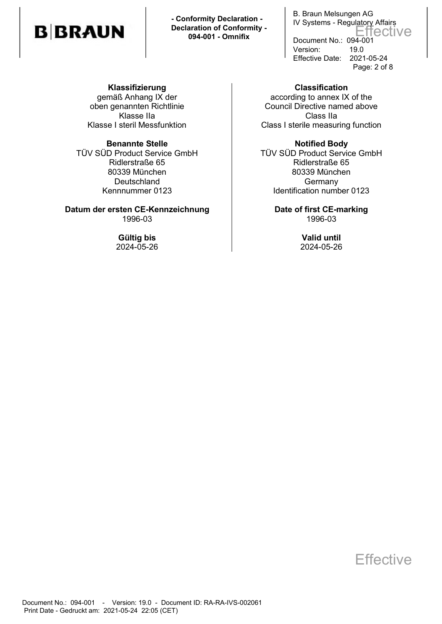**- Conformity Declaration - Declaration of Conformity - 094-001 - Omnifix**

B. Braun Melsungen AG IV Systems - Regulatory Affairs Document No.: 094-001 Version: 19.0 Effective Date: 2021-05-24 Page: 2 of 8 Effective

**Klassifizierung**  gemäß Anhang IX der oben genannten Richtlinie Klasse IIa Klasse I steril Messfunktion

TÜV SÜD Product Service GmbH Ridlerstraße 65 80339 München Deutschland Kennnummer 0123

**Datum der ersten CE-Kennzeichnung by Date of first CE-marking** 1996-03 1996-03

**Classification**  according to annex IX of the Council Directive named above Class IIa Class I sterile measuring function

**Benannte Stelle Notified Body** TÜV SÜD Product Service GmbH Ridlerstraße 65 80339 München **Germany** Identification number 0123

**Gültig bis Valid until** 2024-05-26 2024-05-26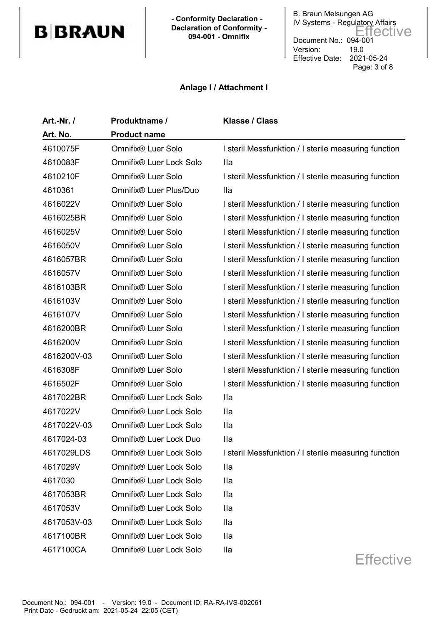**- Conformity Declaration - Declaration of Conformity - 094-001 - Omnifix**

B. Braun Melsungen AG IV Systems - Regulatory Affairs Document No.: 094-001 Version: 19.0 Effective Date: 2021-05-24 Page: 3 of 8 Effective

#### **Anlage I / Attachment I**

| Art.-Nr. /  | Produktname /           | <b>Klasse / Class</b>                                |
|-------------|-------------------------|------------------------------------------------------|
| Art. No.    | <b>Product name</b>     |                                                      |
| 4610075F    | Omnifix® Luer Solo      | I steril Messfunktion / I sterile measuring function |
| 4610083F    | Omnifix® Luer Lock Solo | <b>Ila</b>                                           |
| 4610210F    | Omnifix® Luer Solo      | I steril Messfunktion / I sterile measuring function |
| 4610361     | Omnifix® Luer Plus/Duo  | <b>Ila</b>                                           |
| 4616022V    | Omnifix® Luer Solo      | I steril Messfunktion / I sterile measuring function |
| 4616025BR   | Omnifix® Luer Solo      | I steril Messfunktion / I sterile measuring function |
| 4616025V    | Omnifix® Luer Solo      | I steril Messfunktion / I sterile measuring function |
| 4616050V    | Omnifix® Luer Solo      | I steril Messfunktion / I sterile measuring function |
| 4616057BR   | Omnifix® Luer Solo      | I steril Messfunktion / I sterile measuring function |
| 4616057V    | Omnifix® Luer Solo      | I steril Messfunktion / I sterile measuring function |
| 4616103BR   | Omnifix® Luer Solo      | I steril Messfunktion / I sterile measuring function |
| 4616103V    | Omnifix® Luer Solo      | I steril Messfunktion / I sterile measuring function |
| 4616107V    | Omnifix® Luer Solo      | I steril Messfunktion / I sterile measuring function |
| 4616200BR   | Omnifix® Luer Solo      | I steril Messfunktion / I sterile measuring function |
| 4616200V    | Omnifix® Luer Solo      | I steril Messfunktion / I sterile measuring function |
| 4616200V-03 | Omnifix® Luer Solo      | I steril Messfunktion / I sterile measuring function |
| 4616308F    | Omnifix® Luer Solo      | I steril Messfunktion / I sterile measuring function |
| 4616502F    | Omnifix® Luer Solo      | I steril Messfunktion / I sterile measuring function |
| 4617022BR   | Omnifix® Luer Lock Solo | <b>Ila</b>                                           |
| 4617022V    | Omnifix® Luer Lock Solo | <b>Ila</b>                                           |
| 4617022V-03 | Omnifix® Luer Lock Solo | <b>Ila</b>                                           |
| 4617024-03  | Omnifix® Luer Lock Duo  | <b>Ila</b>                                           |
| 4617029LDS  | Omnifix® Luer Lock Solo | I steril Messfunktion / I sterile measuring function |
| 4617029V    | Omnifix® Luer Lock Solo | <b>Ila</b>                                           |
| 4617030     | Omnifix® Luer Lock Solo | Ila                                                  |
| 4617053BR   | Omnifix® Luer Lock Solo | Ila                                                  |
| 4617053V    | Omnifix® Luer Lock Solo | Ila                                                  |
| 4617053V-03 | Omnifix® Luer Lock Solo | Ila                                                  |
| 4617100BR   | Omnifix® Luer Lock Solo | <b>Ila</b>                                           |
| 4617100CA   | Omnifix® Luer Lock Solo | Ila                                                  |
|             |                         | <b>Effective</b>                                     |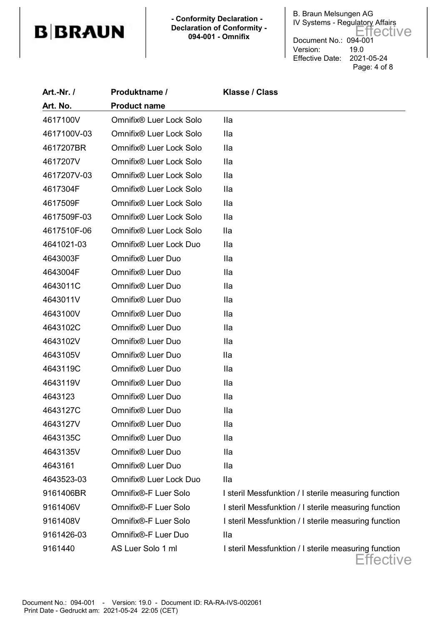**- Conformity Declaration - Declaration of Conformity - 094-001 - Omnifix**

B. Braun Melsungen AG IV Systems - Regulatory Affairs Document No.: 094-001 Version: 19.0 Effective Date: 2021-05-24 Page: 4 of 8 Effective

| Art.-Nr. /  | Produktname /           | <b>Klasse / Class</b>                                             |
|-------------|-------------------------|-------------------------------------------------------------------|
| Art. No.    | <b>Product name</b>     |                                                                   |
| 4617100V    | Omnifix® Luer Lock Solo | Ila                                                               |
| 4617100V-03 | Omnifix® Luer Lock Solo | lla                                                               |
| 4617207BR   | Omnifix® Luer Lock Solo | <b>Ila</b>                                                        |
| 4617207V    | Omnifix® Luer Lock Solo | Ila                                                               |
| 4617207V-03 | Omnifix® Luer Lock Solo | <b>Ila</b>                                                        |
| 4617304F    | Omnifix® Luer Lock Solo | Ila                                                               |
| 4617509F    | Omnifix® Luer Lock Solo | <b>Ila</b>                                                        |
| 4617509F-03 | Omnifix® Luer Lock Solo | Ila                                                               |
| 4617510F-06 | Omnifix® Luer Lock Solo | <b>Ila</b>                                                        |
| 4641021-03  | Omnifix® Luer Lock Duo  | <b>Ila</b>                                                        |
| 4643003F    | Omnifix® Luer Duo       | Ila                                                               |
| 4643004F    | Omnifix® Luer Duo       | <b>Ila</b>                                                        |
| 4643011C    | Omnifix® Luer Duo       | Ila                                                               |
| 4643011V    | Omnifix® Luer Duo       | <b>Ila</b>                                                        |
| 4643100V    | Omnifix® Luer Duo       | <b>Ila</b>                                                        |
| 4643102C    | Omnifix® Luer Duo       | <b>Ila</b>                                                        |
| 4643102V    | Omnifix® Luer Duo       | Ila                                                               |
| 4643105V    | Omnifix® Luer Duo       | lla                                                               |
| 4643119C    | Omnifix® Luer Duo       | Ila                                                               |
| 4643119V    | Omnifix® Luer Duo       | <b>Ila</b>                                                        |
| 4643123     | Omnifix® Luer Duo       | <b>Ila</b>                                                        |
| 4643127C    | Omnifix® Luer Duo       | <b>Ila</b>                                                        |
| 4643127V    | Omnifix® Luer Duo       | Ila                                                               |
| 4643135C    | Omnifix® Luer Duo       | Ila                                                               |
| 4643135V    | Omnifix® Luer Duo       | Ila                                                               |
| 4643161     | Omnifix® Luer Duo       | <b>Ila</b>                                                        |
| 4643523-03  | Omnifix® Luer Lock Duo  | Ila                                                               |
| 9161406BR   | Omnifix®-F Luer Solo    | I steril Messfunktion / I sterile measuring function              |
| 9161406V    | Omnifix®-F Luer Solo    | I steril Messfunktion / I sterile measuring function              |
| 9161408V    | Omnifix®-F Luer Solo    | I steril Messfunktion / I sterile measuring function              |
| 9161426-03  | Omnifix®-F Luer Duo     | lla                                                               |
| 9161440     | AS Luer Solo 1 ml       | I steril Messfunktion / I sterile measuring function<br>Effective |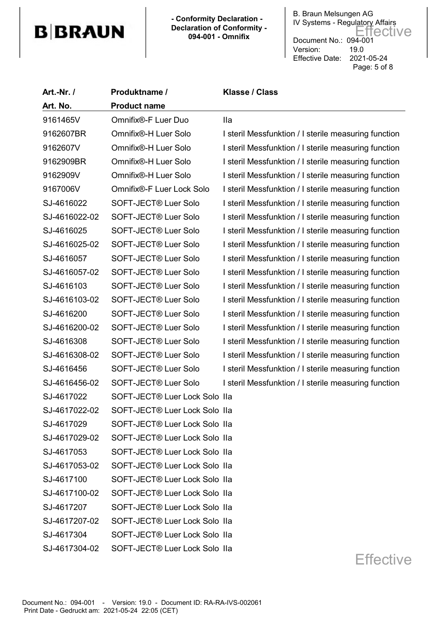**- Conformity Declaration - Declaration of Conformity - 094-001 - Omnifix**

B. Braun Melsungen AG IV Systems - Regulatory Affairs Document No.: 094-001 Version: 19.0 Effective Date: 2021-05-24 Page: 5 of 8 Effective

| <b>Art.-Nr. /</b> | Produktname /                    | <b>Klasse / Class</b>                                |
|-------------------|----------------------------------|------------------------------------------------------|
| Art. No.          | <b>Product name</b>              |                                                      |
| 9161465V          | Omnifix®-F Luer Duo              | <b>Ila</b>                                           |
| 9162607BR         | Omnifix®-H Luer Solo             | I steril Messfunktion / I sterile measuring function |
| 9162607V          | Omnifix®-H Luer Solo             | I steril Messfunktion / I sterile measuring function |
| 9162909BR         | Omnifix®-H Luer Solo             | I steril Messfunktion / I sterile measuring function |
| 9162909V          | Omnifix®-H Luer Solo             | I steril Messfunktion / I sterile measuring function |
| 9167006V          | Omnifix®-F Luer Lock Solo        | I steril Messfunktion / I sterile measuring function |
| SJ-4616022        | SOFT-JECT® Luer Solo             | I steril Messfunktion / I sterile measuring function |
| SJ-4616022-02     | SOFT-JECT <sup>®</sup> Luer Solo | I steril Messfunktion / I sterile measuring function |
| SJ-4616025        | SOFT-JECT® Luer Solo             | I steril Messfunktion / I sterile measuring function |
| SJ-4616025-02     | SOFT-JECT® Luer Solo             | I steril Messfunktion / I sterile measuring function |
| SJ-4616057        | SOFT-JECT® Luer Solo             | I steril Messfunktion / I sterile measuring function |
| SJ-4616057-02     | SOFT-JECT® Luer Solo             | I steril Messfunktion / I sterile measuring function |
| SJ-4616103        | SOFT-JECT® Luer Solo             | I steril Messfunktion / I sterile measuring function |
| SJ-4616103-02     | SOFT-JECT® Luer Solo             | I steril Messfunktion / I sterile measuring function |
| SJ-4616200        | SOFT-JECT® Luer Solo             | I steril Messfunktion / I sterile measuring function |
| SJ-4616200-02     | SOFT-JECT® Luer Solo             | I steril Messfunktion / I sterile measuring function |
| SJ-4616308        | SOFT-JECT <sup>®</sup> Luer Solo | I steril Messfunktion / I sterile measuring function |
| SJ-4616308-02     | SOFT-JECT® Luer Solo             | I steril Messfunktion / I sterile measuring function |
| SJ-4616456        | SOFT-JECT® Luer Solo             | I steril Messfunktion / I sterile measuring function |
| SJ-4616456-02     | SOFT-JECT® Luer Solo             | I steril Messfunktion / I sterile measuring function |
| SJ-4617022        | SOFT-JECT® Luer Lock Solo IIa    |                                                      |
| SJ-4617022-02     | SOFT-JECT® Luer Lock Solo IIa    |                                                      |
| SJ-4617029        | SOFT-JECT® Luer Lock Solo IIa    |                                                      |
| SJ-4617029-02     | SOFT-JECT® Luer Lock Solo IIa    |                                                      |
| SJ-4617053        | SOFT-JECT® Luer Lock Solo IIa    |                                                      |
| SJ-4617053-02     | SOFT-JECT® Luer Lock Solo IIa    |                                                      |
| SJ-4617100        | SOFT-JECT® Luer Lock Solo IIa    |                                                      |
| SJ-4617100-02     | SOFT-JECT® Luer Lock Solo IIa    |                                                      |
| SJ-4617207        | SOFT-JECT® Luer Lock Solo IIa    |                                                      |
| SJ-4617207-02     | SOFT-JECT® Luer Lock Solo IIa    |                                                      |
| SJ-4617304        | SOFT-JECT® Luer Lock Solo IIa    |                                                      |
| SJ-4617304-02     | SOFT-JECT® Luer Lock Solo IIa    |                                                      |
|                   |                                  | Effective                                            |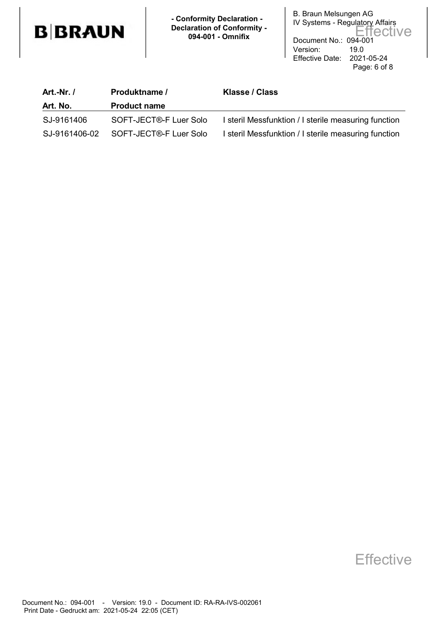

 **- Conformity Declaration - Declaration of Conformity - 094-001 - Omnifix**

B. Braun Melsungen AG IV Systems - Regulatory Affairs Document No.: 094-001 Version: 19.0 Effective Date: 2021-05-24 Page: 6 of 8 Effective

| <b>Art.-Nr. /</b> | Produktname /          | Klasse / Class                                       |
|-------------------|------------------------|------------------------------------------------------|
| Art. No.          | <b>Product name</b>    |                                                      |
| SJ-9161406        | SOFT-JECT®-F Luer Solo | I steril Messfunktion / I sterile measuring function |
| SJ-9161406-02     | SOFT-JECT®-F Luer Solo | I steril Messfunktion / I sterile measuring function |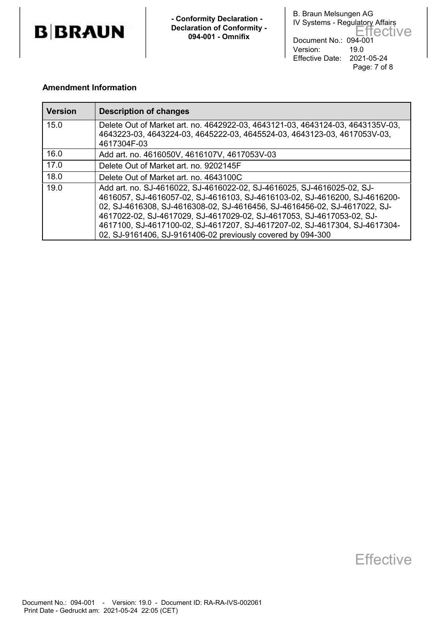

 **- Conformity Declaration - Declaration of Conformity - 094-001 - Omnifix**

B. Braun Melsungen AG IV Systems - Regulatory Affairs Document No.: 094-001 Version: 19.0 Effective Date: 2021-05-24 Page: 7 of 8 Effective

#### **Amendment Information**

| <b>Version</b> | <b>Description of changes</b>                                                                                                                                                                                                                                                                                                                                                                                                                           |
|----------------|---------------------------------------------------------------------------------------------------------------------------------------------------------------------------------------------------------------------------------------------------------------------------------------------------------------------------------------------------------------------------------------------------------------------------------------------------------|
| 15.0           | Delete Out of Market art. no. 4642922-03, 4643121-03, 4643124-03, 4643135V-03,<br>4643223-03, 4643224-03, 4645222-03, 4645524-03, 4643123-03, 4617053V-03,<br>4617304F-03                                                                                                                                                                                                                                                                               |
| 16.0           | Add art. no. 4616050V, 4616107V, 4617053V-03                                                                                                                                                                                                                                                                                                                                                                                                            |
| 17.0           | Delete Out of Market art. no. 9202145F                                                                                                                                                                                                                                                                                                                                                                                                                  |
| 18.0           | Delete Out of Market art. no. 4643100C                                                                                                                                                                                                                                                                                                                                                                                                                  |
| 19.0           | Add art. no. SJ-4616022, SJ-4616022-02, SJ-4616025, SJ-4616025-02, SJ-<br>4616057, SJ-4616057-02, SJ-4616103, SJ-4616103-02, SJ-4616200, SJ-4616200-<br>02, SJ-4616308, SJ-4616308-02, SJ-4616456, SJ-4616456-02, SJ-4617022, SJ-<br>4617022-02, SJ-4617029, SJ-4617029-02, SJ-4617053, SJ-4617053-02, SJ-<br>4617100, SJ-4617100-02, SJ-4617207, SJ-4617207-02, SJ-4617304, SJ-4617304-<br>02, SJ-9161406, SJ-9161406-02 previously covered by 094-300 |